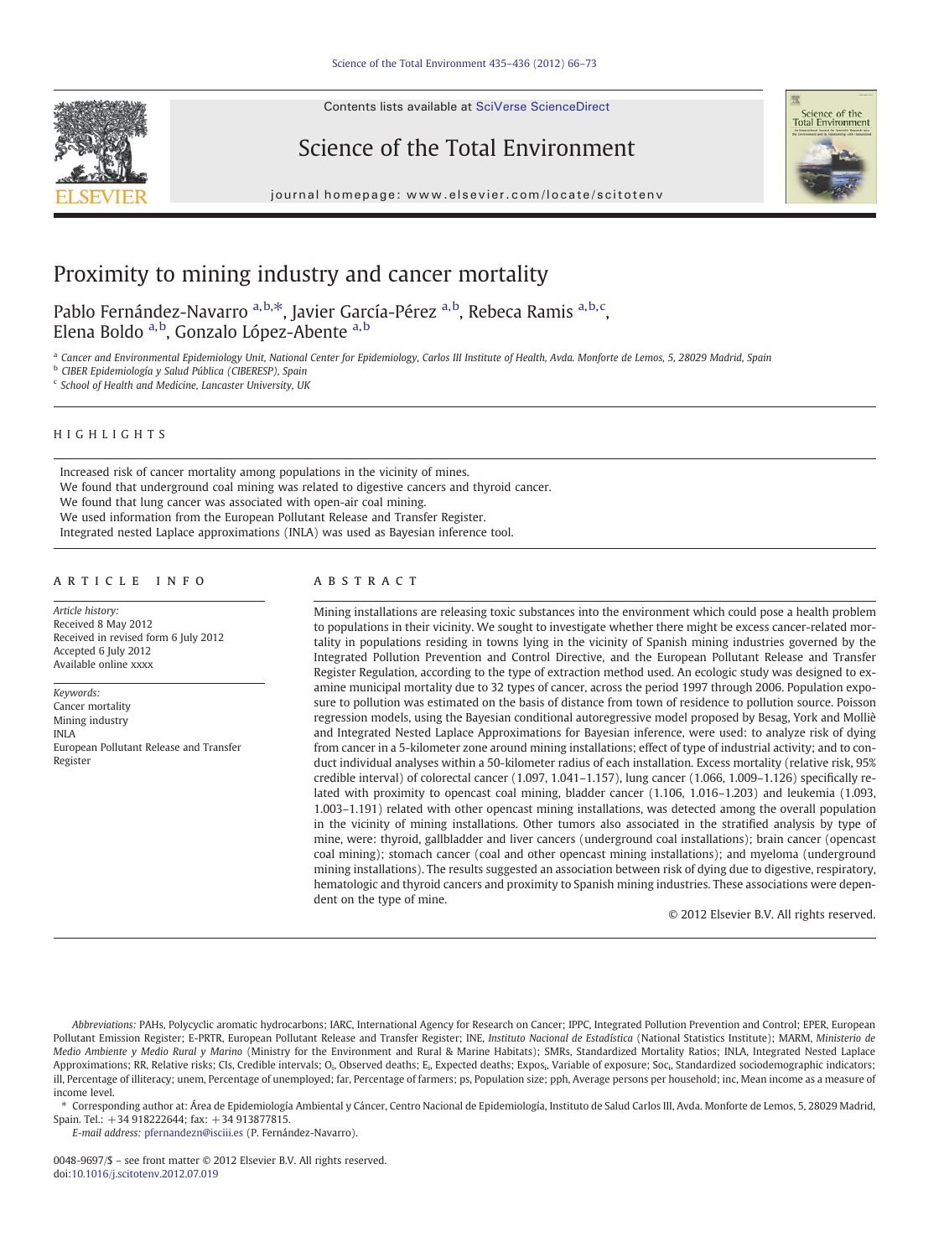Contents lists available at SciVerse ScienceDirect







journal homepage: www.elsevier.com/locate/scitotenv

# Proximity to mining industry and cancer mortality

Pablo Fernández-Navarro <sup>a, b, \*</sup>, Javier García-Pérez <sup>a, b</sup>, Rebeca Ramis <sup>a, b, c</sup>, Elena Boldo <sup>a, b</sup>, Gonzalo López-Abente <sup>a, b</sup>

<sup>a</sup> Cancer and Environmental Epidemiology Unit, National Center for Epidemiology, Carlos III Institute of Health, Avda. Monforte de Lemos, 5, 28029 Madrid, Spain

<sup>b</sup> CIBER Epidemiología y Salud Pública (CIBERESP), Spain

<sup>c</sup> School of Health and Medicine, Lancaster University, UK

# HIGHLIGHTS

Increased risk of cancer mortality among populations in the vicinity of mines. We found that underground coal mining was related to digestive cancers and thyroid cancer. We found that lung cancer was associated with open-air coal mining. We used information from the European Pollutant Release and Transfer Register. Integrated nested Laplace approximations (INLA) was used as Bayesian inference tool.

# article info abstract

Article history: Received 8 May 2012 Received in revised form 6 July 2012 Accepted 6 July 2012 Available online xxxx

Keywords: Cancer mortality Mining industry INLA European Pollutant Release and Transfer Register

Mining installations are releasing toxic substances into the environment which could pose a health problem to populations in their vicinity. We sought to investigate whether there might be excess cancer-related mortality in populations residing in towns lying in the vicinity of Spanish mining industries governed by the Integrated Pollution Prevention and Control Directive, and the European Pollutant Release and Transfer Register Regulation, according to the type of extraction method used. An ecologic study was designed to examine municipal mortality due to 32 types of cancer, across the period 1997 through 2006. Population exposure to pollution was estimated on the basis of distance from town of residence to pollution source. Poisson regression models, using the Bayesian conditional autoregressive model proposed by Besag, York and Molliè and Integrated Nested Laplace Approximations for Bayesian inference, were used: to analyze risk of dying from cancer in a 5-kilometer zone around mining installations; effect of type of industrial activity; and to conduct individual analyses within a 50-kilometer radius of each installation. Excess mortality (relative risk, 95% credible interval) of colorectal cancer (1.097, 1.041–1.157), lung cancer (1.066, 1.009–1.126) specifically related with proximity to opencast coal mining, bladder cancer (1.106, 1.016–1.203) and leukemia (1.093, 1.003–1.191) related with other opencast mining installations, was detected among the overall population in the vicinity of mining installations. Other tumors also associated in the stratified analysis by type of mine, were: thyroid, gallbladder and liver cancers (underground coal installations); brain cancer (opencast coal mining); stomach cancer (coal and other opencast mining installations); and myeloma (underground mining installations). The results suggested an association between risk of dying due to digestive, respiratory, hematologic and thyroid cancers and proximity to Spanish mining industries. These associations were dependent on the type of mine.

© 2012 Elsevier B.V. All rights reserved.

Abbreviations: PAHs, Polycyclic aromatic hydrocarbons; IARC, International Agency for Research on Cancer; IPPC, Integrated Pollution Prevention and Control; EPER, European Pollutant Emission Register; E-PRTR, European Pollutant Release and Transfer Register; INE, Instituto Nacional de Estadística (National Statistics Institute); MARM, Ministerio de Medio Ambiente y Medio Rural y Marino (Ministry for the Environment and Rural & Marine Habitats); SMRs, Standardized Mortality Ratios; INLA, Integrated Nested Laplace Approximations; RR, Relative risks; CIs, Credible intervals; O<sub>i</sub>, Observed deaths; E<sub>i</sub>, Expected deaths; Expos<sub>i</sub>, Variable of exposure; Soc<sub>i</sub>, Standardized sociodemographic indicators; ill, Percentage of illiteracy; unem, Percentage of unemployed; far, Percentage of farmers; ps, Population size; pph, Average persons per household; inc, Mean income as a measure of income level.

⁎ Corresponding author at: Área de Epidemiología Ambiental y Cáncer, Centro Nacional de Epidemiología, Instituto de Salud Carlos III, Avda. Monforte de Lemos, 5, 28029 Madrid, Spain. Tel.: +34 918222644; fax: +34 913877815.

E-mail address: [pfernandezn@isciii.es](mailto:pfernandezn@isciii.es) (P. Fernández-Navarro).

0048-9697/\$ – see front matter © 2012 Elsevier B.V. All rights reserved. doi[:10.1016/j.scitotenv.2012.07.019](http://dx.doi.org/10.1016/j.scitotenv.2012.07.019)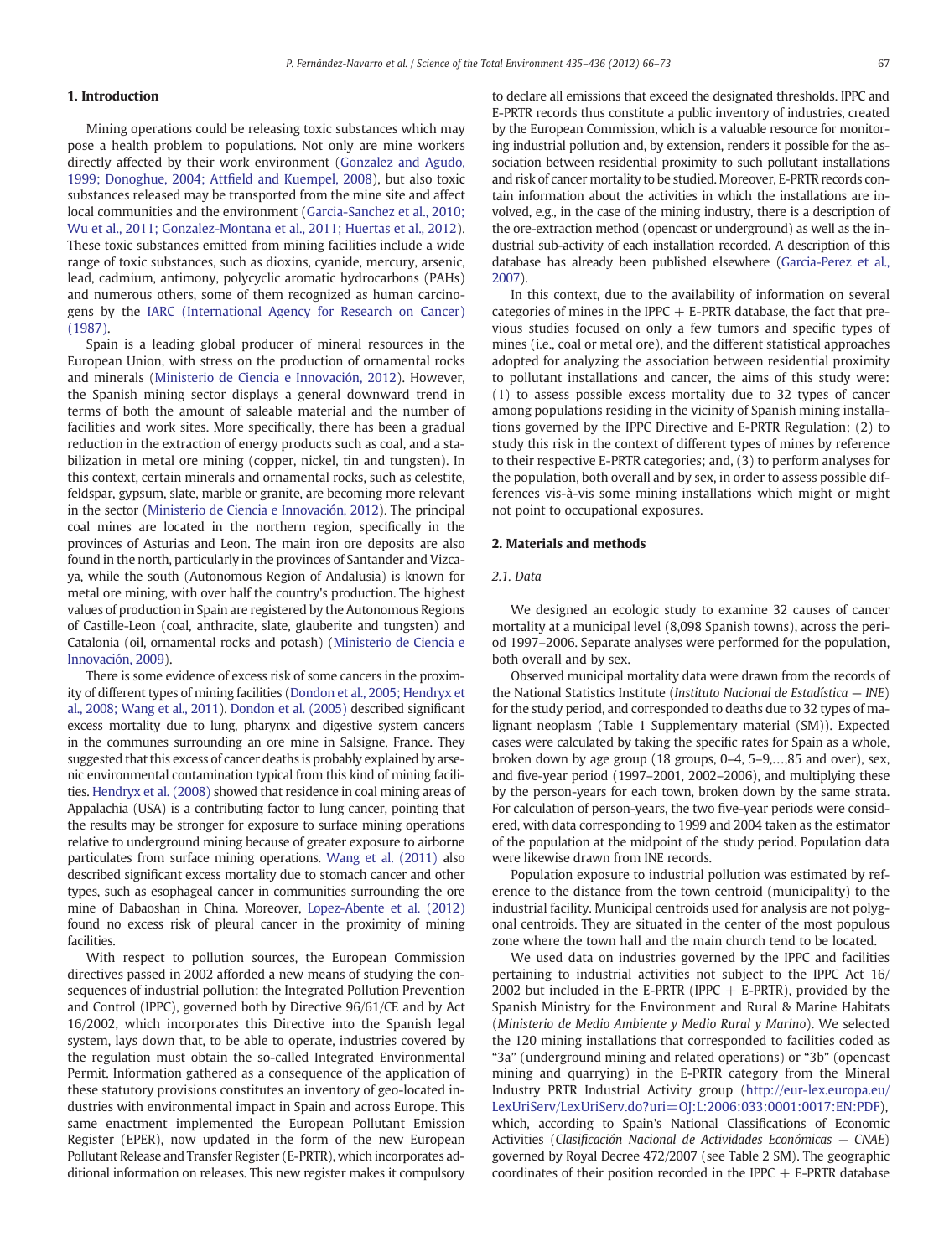# 1. Introduction

Mining operations could be releasing toxic substances which may pose a health problem to populations. Not only are mine workers directly affected by their work environment ([Gonzalez and Agudo,](#page-7-0) [1999; Donoghue, 2004; Att](#page-7-0)field and Kuempel, 2008), but also toxic substances released may be transported from the mine site and affect local communities and the environment ([Garcia-Sanchez et al., 2010;](#page-7-0) [Wu et al., 2011; Gonzalez-Montana et al., 2011; Huertas et al., 2012](#page-7-0)). These toxic substances emitted from mining facilities include a wide range of toxic substances, such as dioxins, cyanide, mercury, arsenic, lead, cadmium, antimony, polycyclic aromatic hydrocarbons (PAHs) and numerous others, some of them recognized as human carcinogens by the [IARC \(International Agency for Research on Cancer\)](#page-7-0) [\(1987\).](#page-7-0)

Spain is a leading global producer of mineral resources in the European Union, with stress on the production of ornamental rocks and minerals ([Ministerio de Ciencia e Innovación, 2012](#page-7-0)). However, the Spanish mining sector displays a general downward trend in terms of both the amount of saleable material and the number of facilities and work sites. More specifically, there has been a gradual reduction in the extraction of energy products such as coal, and a stabilization in metal ore mining (copper, nickel, tin and tungsten). In this context, certain minerals and ornamental rocks, such as celestite, feldspar, gypsum, slate, marble or granite, are becoming more relevant in the sector [\(Ministerio de Ciencia e Innovación, 2012\)](#page-7-0). The principal coal mines are located in the northern region, specifically in the provinces of Asturias and Leon. The main iron ore deposits are also found in the north, particularly in the provinces of Santander and Vizcaya, while the south (Autonomous Region of Andalusia) is known for metal ore mining, with over half the country's production. The highest values of production in Spain are registered by the Autonomous Regions of Castille-Leon (coal, anthracite, slate, glauberite and tungsten) and Catalonia (oil, ornamental rocks and potash) [\(Ministerio de Ciencia e](#page-7-0) [Innovación, 2009\)](#page-7-0).

There is some evidence of excess risk of some cancers in the proximity of different types of mining facilities [\(Dondon et al., 2005; Hendryx et](#page-7-0) [al., 2008; Wang et al., 2011](#page-7-0)). [Dondon et al. \(2005\)](#page-7-0) described significant excess mortality due to lung, pharynx and digestive system cancers in the communes surrounding an ore mine in Salsigne, France. They suggested that this excess of cancer deaths is probably explained by arsenic environmental contamination typical from this kind of mining facilities. [Hendryx et al. \(2008\)](#page-7-0) showed that residence in coal mining areas of Appalachia (USA) is a contributing factor to lung cancer, pointing that the results may be stronger for exposure to surface mining operations relative to underground mining because of greater exposure to airborne particulates from surface mining operations. [Wang et al. \(2011\)](#page-7-0) also described significant excess mortality due to stomach cancer and other types, such as esophageal cancer in communities surrounding the ore mine of Dabaoshan in China. Moreover, [Lopez-Abente et al. \(2012\)](#page-7-0) found no excess risk of pleural cancer in the proximity of mining facilities.

With respect to pollution sources, the European Commission directives passed in 2002 afforded a new means of studying the consequences of industrial pollution: the Integrated Pollution Prevention and Control (IPPC), governed both by Directive 96/61/CE and by Act 16/2002, which incorporates this Directive into the Spanish legal system, lays down that, to be able to operate, industries covered by the regulation must obtain the so-called Integrated Environmental Permit. Information gathered as a consequence of the application of these statutory provisions constitutes an inventory of geo-located industries with environmental impact in Spain and across Europe. This same enactment implemented the European Pollutant Emission Register (EPER), now updated in the form of the new European Pollutant Release and Transfer Register (E-PRTR), which incorporates additional information on releases. This new register makes it compulsory

to declare all emissions that exceed the designated thresholds. IPPC and E-PRTR records thus constitute a public inventory of industries, created by the European Commission, which is a valuable resource for monitoring industrial pollution and, by extension, renders it possible for the association between residential proximity to such pollutant installations and risk of cancer mortality to be studied. Moreover, E-PRTR records contain information about the activities in which the installations are involved, e.g., in the case of the mining industry, there is a description of the ore-extraction method (opencast or underground) as well as the industrial sub-activity of each installation recorded. A description of this database has already been published elsewhere [\(Garcia-Perez et al.,](#page-7-0) [2007](#page-7-0)).

In this context, due to the availability of information on several categories of mines in the IPPC  $+$  E-PRTR database, the fact that previous studies focused on only a few tumors and specific types of mines (i.e., coal or metal ore), and the different statistical approaches adopted for analyzing the association between residential proximity to pollutant installations and cancer, the aims of this study were: (1) to assess possible excess mortality due to 32 types of cancer among populations residing in the vicinity of Spanish mining installations governed by the IPPC Directive and E-PRTR Regulation; (2) to study this risk in the context of different types of mines by reference to their respective E-PRTR categories; and, (3) to perform analyses for the population, both overall and by sex, in order to assess possible differences vis-à-vis some mining installations which might or might not point to occupational exposures.

# 2. Materials and methods

# 2.1. Data

We designed an ecologic study to examine 32 causes of cancer mortality at a municipal level (8,098 Spanish towns), across the period 1997–2006. Separate analyses were performed for the population, both overall and by sex.

Observed municipal mortality data were drawn from the records of the National Statistics Institute (Instituto Nacional de Estadística — INE) for the study period, and corresponded to deaths due to 32 types of malignant neoplasm (Table 1 Supplementary material (SM)). Expected cases were calculated by taking the specific rates for Spain as a whole, broken down by age group (18 groups, 0–4, 5–9,…,85 and over), sex, and five-year period (1997–2001, 2002–2006), and multiplying these by the person-years for each town, broken down by the same strata. For calculation of person-years, the two five-year periods were considered, with data corresponding to 1999 and 2004 taken as the estimator of the population at the midpoint of the study period. Population data were likewise drawn from INE records.

Population exposure to industrial pollution was estimated by reference to the distance from the town centroid (municipality) to the industrial facility. Municipal centroids used for analysis are not polygonal centroids. They are situated in the center of the most populous zone where the town hall and the main church tend to be located.

We used data on industries governed by the IPPC and facilities pertaining to industrial activities not subject to the IPPC Act 16/ 2002 but included in the E-PRTR (IPPC  $+$  E-PRTR), provided by the Spanish Ministry for the Environment and Rural & Marine Habitats (Ministerio de Medio Ambiente y Medio Rural y Marino). We selected the 120 mining installations that corresponded to facilities coded as "3a" (underground mining and related operations) or "3b" (opencast mining and quarrying) in the E-PRTR category from the Mineral Industry PRTR Industrial Activity group ([http://eur-lex.europa.eu/](http://eur-lex.europa.eu/LexUriServ/LexUriServ.do?uri=OJ:L:2006:033:0001:0017:EN:PDF) [LexUriServ/LexUriServ.do?uri=OJ:L:2006:033:0001:0017:EN:PDF](http://eur-lex.europa.eu/LexUriServ/LexUriServ.do?uri=OJ:L:2006:033:0001:0017:EN:PDF)), which, according to Spain's National Classifications of Economic Activities (Clasificación Nacional de Actividades Económicas — CNAE) governed by Royal Decree 472/2007 (see Table 2 SM). The geographic coordinates of their position recorded in the IPPC  $+$  E-PRTR database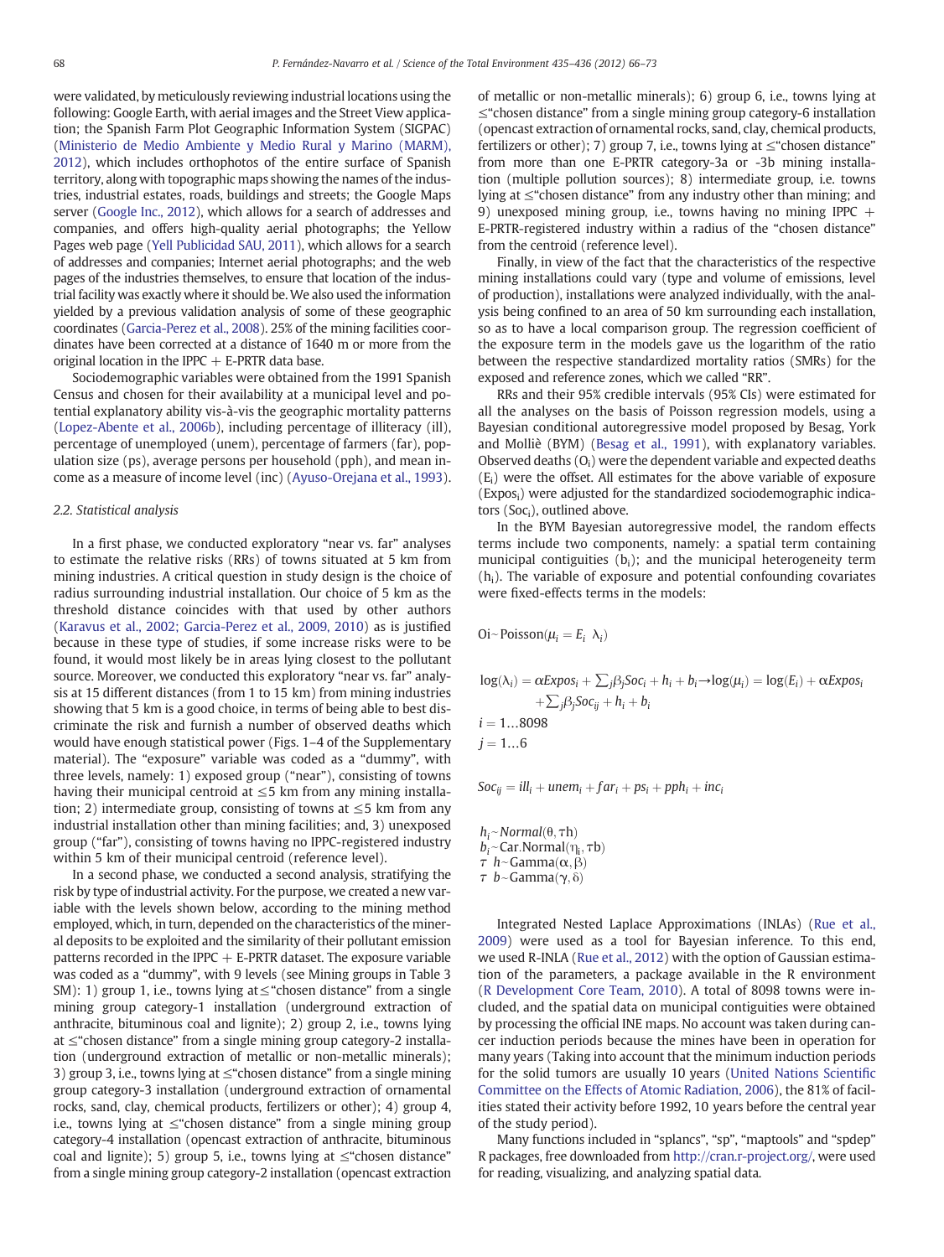were validated, by meticulously reviewing industrial locations using the following: Google Earth, with aerial images and the Street View application; the Spanish Farm Plot Geographic Information System (SIGPAC) [\(Ministerio de Medio Ambiente y Medio Rural y Marino \(MARM\),](#page-7-0) [2012\)](#page-7-0), which includes orthophotos of the entire surface of Spanish territory, along with topographic maps showing the names of the industries, industrial estates, roads, buildings and streets; the Google Maps server ([Google Inc., 2012](#page-7-0)), which allows for a search of addresses and companies, and offers high-quality aerial photographs; the Yellow Pages web page ([Yell Publicidad SAU, 2011\)](#page-7-0), which allows for a search of addresses and companies; Internet aerial photographs; and the web pages of the industries themselves, to ensure that location of the industrial facility was exactly where it should be. We also used the information yielded by a previous validation analysis of some of these geographic coordinates ([Garcia-Perez et al., 2008\)](#page-7-0). 25% of the mining facilities coordinates have been corrected at a distance of 1640 m or more from the original location in the IPPC  $+$  E-PRTR data base.

Sociodemographic variables were obtained from the 1991 Spanish Census and chosen for their availability at a municipal level and potential explanatory ability vis-à-vis the geographic mortality patterns [\(Lopez-Abente et al., 2006b](#page-7-0)), including percentage of illiteracy (ill), percentage of unemployed (unem), percentage of farmers (far), population size (ps), average persons per household (pph), and mean income as a measure of income level (inc) [\(Ayuso-Orejana et al., 1993](#page-7-0)).

# 2.2. Statistical analysis

In a first phase, we conducted exploratory "near vs. far" analyses to estimate the relative risks (RRs) of towns situated at 5 km from mining industries. A critical question in study design is the choice of radius surrounding industrial installation. Our choice of 5 km as the threshold distance coincides with that used by other authors [\(Karavus et al., 2002; Garcia-Perez et al., 2009, 2010](#page-7-0)) as is justified because in these type of studies, if some increase risks were to be found, it would most likely be in areas lying closest to the pollutant source. Moreover, we conducted this exploratory "near vs. far" analysis at 15 different distances (from 1 to 15 km) from mining industries showing that 5 km is a good choice, in terms of being able to best discriminate the risk and furnish a number of observed deaths which would have enough statistical power (Figs. 1–4 of the Supplementary material). The "exposure" variable was coded as a "dummy", with three levels, namely: 1) exposed group ("near"), consisting of towns having their municipal centroid at  $\leq$ 5 km from any mining installation; 2) intermediate group, consisting of towns at  $\leq$  5 km from any industrial installation other than mining facilities; and, 3) unexposed group ("far"), consisting of towns having no IPPC-registered industry within 5 km of their municipal centroid (reference level).

In a second phase, we conducted a second analysis, stratifying the risk by type of industrial activity. For the purpose, we created a new variable with the levels shown below, according to the mining method employed, which, in turn, depended on the characteristics of the mineral deposits to be exploited and the similarity of their pollutant emission patterns recorded in the IPPC  $+$  E-PRTR dataset. The exposure variable was coded as a "dummy", with 9 levels (see Mining groups in Table 3 SM): 1) group 1, i.e., towns lying at  $\leq$  "chosen distance" from a single mining group category-1 installation (underground extraction of anthracite, bituminous coal and lignite); 2) group 2, i.e., towns lying at ≤"chosen distance" from a single mining group category-2 installation (underground extraction of metallic or non-metallic minerals); 3) group 3, i.e., towns lying at  $\leq$  "chosen distance" from a single mining group category-3 installation (underground extraction of ornamental rocks, sand, clay, chemical products, fertilizers or other); 4) group 4, i.e., towns lying at  $\leq$  chosen distance" from a single mining group category-4 installation (opencast extraction of anthracite, bituminous coal and lignite); 5) group 5, i.e., towns lying at  $\leq$  chosen distance" from a single mining group category-2 installation (opencast extraction of metallic or non-metallic minerals); 6) group 6, i.e., towns lying at ≤"chosen distance" from a single mining group category-6 installation (opencast extraction of ornamental rocks, sand, clay, chemical products, fertilizers or other); 7) group 7, i.e., towns lying at  $\leq$  "chosen distance" from more than one E-PRTR category-3a or -3b mining installation (multiple pollution sources); 8) intermediate group, i.e. towns lying at ≤"chosen distance" from any industry other than mining; and 9) unexposed mining group, i.e., towns having no mining IPPC  $+$ E-PRTR-registered industry within a radius of the "chosen distance" from the centroid (reference level).

Finally, in view of the fact that the characteristics of the respective mining installations could vary (type and volume of emissions, level of production), installations were analyzed individually, with the analysis being confined to an area of 50 km surrounding each installation, so as to have a local comparison group. The regression coefficient of the exposure term in the models gave us the logarithm of the ratio between the respective standardized mortality ratios (SMRs) for the exposed and reference zones, which we called "RR".

RRs and their 95% credible intervals (95% CIs) were estimated for all the analyses on the basis of Poisson regression models, using a Bayesian conditional autoregressive model proposed by Besag, York and Molliè (BYM) [\(Besag et al., 1991\)](#page-7-0), with explanatory variables. Observed deaths  $(O_i)$  were the dependent variable and expected deaths  $(E<sub>i</sub>)$  were the offset. All estimates for the above variable of exposure (Expos<sub>i</sub>) were adjusted for the standardized sociodemographic indicators  $(Soc<sub>i</sub>)$ , outlined above.

In the BYM Bayesian autoregressive model, the random effects terms include two components, namely: a spatial term containing municipal contiguities  $(b<sub>i</sub>)$ ; and the municipal heterogeneity term  $(h<sub>i</sub>)$ . The variable of exposure and potential confounding covariates were fixed-effects terms in the models:

 $\text{Oi}-\text{Poisson}(\mu_i = E_i \lambda_i)$ 

 $log(\lambda_i) = \alpha Expos_i + \sum_i \beta_j Soc_i + h_i + b_i \rightarrow log(\mu_i) = log(E_i) + \alpha Expos_i$  $+\sum_{i} \beta_i$ Soc<sub>ii</sub> + h<sub>i</sub> + b<sub>i</sub>  $i = 1...8098$  $i = 1...6$ 

 $Soc_{ij} = ill_i + unem_i + far_i + ps_i + pph_i + inc_i$ 

Soc<sub>ij</sub> = ill<sub>i</sub> + unem<br>h<sub>i</sub> ~ Normal(θ, τh)  $\begin{aligned} &\text{Soc}_{ij} = ill_i + unem_i + f(i) \\ &h_i \sim Normal(\theta, \tau h) \\ &b_i \sim \text{Car.Normal}(\eta_i, \tau b) \end{aligned}$  $h_i \sim Normal(\theta, \tau h)$ <br>  $b_i \sim Car.Normal(\eta_i, \tau h \sim Gamma(\alpha, \beta))$  $h_i \sim Normal(\theta, \tau h)$ <br>  $b_i \sim Car.Normal(\eta_i, \beta \tau h \sim Gamma(\alpha, \beta \tau b \sim Gamma(\gamma, \delta))$ 

Integrated Nested Laplace Approximations (INLAs) ([Rue et al.,](#page-7-0) [2009\)](#page-7-0) were used as a tool for Bayesian inference. To this end, we used R-INLA [\(Rue et al., 2012\)](#page-7-0) with the option of Gaussian estimation of the parameters, a package available in the R environment [\(R Development Core Team, 2010\)](#page-7-0). A total of 8098 towns were included, and the spatial data on municipal contiguities were obtained by processing the official INE maps. No account was taken during cancer induction periods because the mines have been in operation for many years (Taking into account that the minimum induction periods for the solid tumors are usually 10 years [\(United Nations Scienti](#page-7-0)fic [Committee on the Effects of Atomic Radiation, 2006](#page-7-0)), the 81% of facilities stated their activity before 1992, 10 years before the central year of the study period).

Many functions included in "splancs", "sp", "maptools" and "spdep" R packages, free downloaded from [http://cran.r-project.org/,](http://cran.r-project.org/) were used for reading, visualizing, and analyzing spatial data.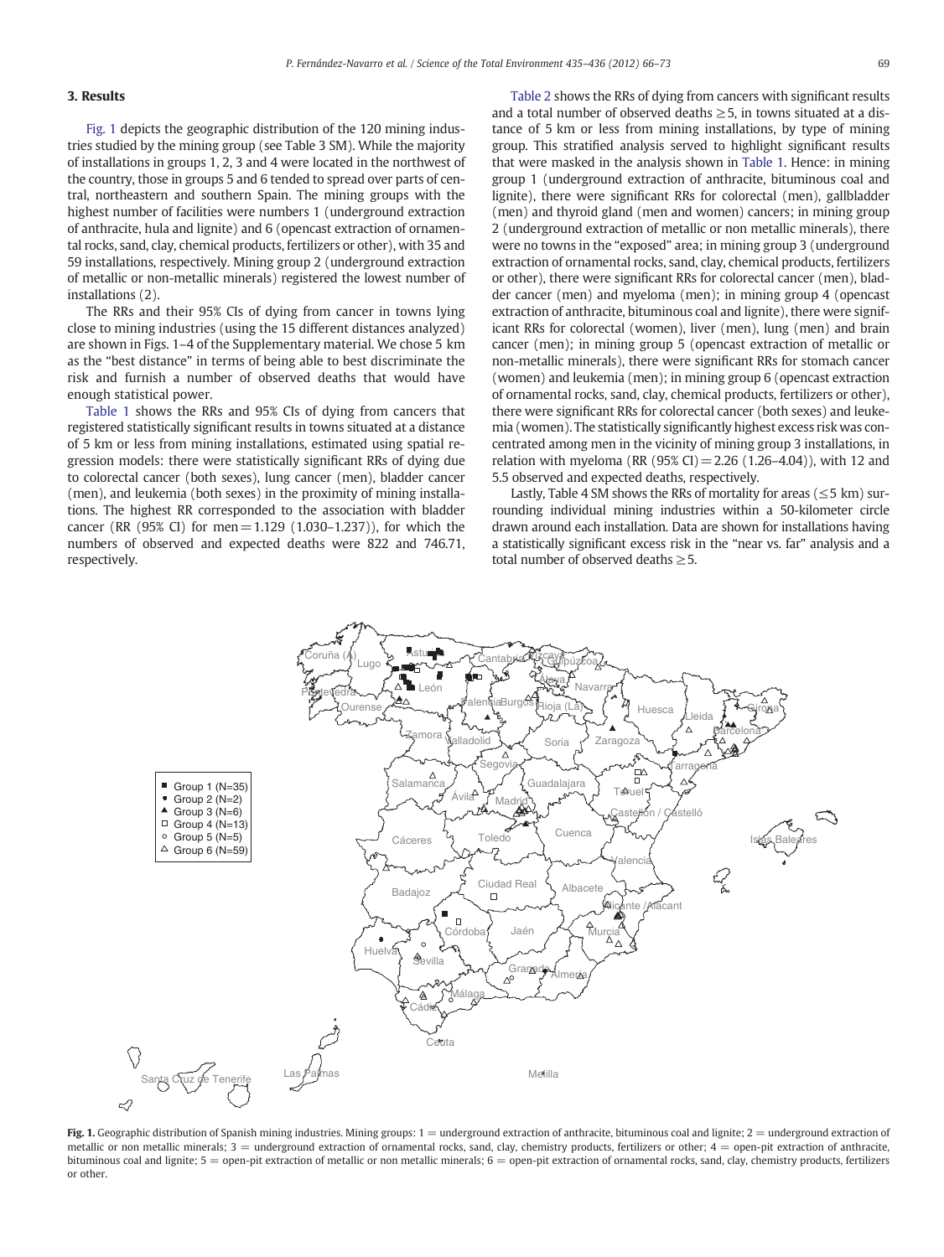# 3. Results

Fig. 1 depicts the geographic distribution of the 120 mining industries studied by the mining group (see Table 3 SM). While the majority of installations in groups 1, 2, 3 and 4 were located in the northwest of the country, those in groups 5 and 6 tended to spread over parts of central, northeastern and southern Spain. The mining groups with the highest number of facilities were numbers 1 (underground extraction of anthracite, hula and lignite) and 6 (opencast extraction of ornamental rocks, sand, clay, chemical products, fertilizers or other), with 35 and 59 installations, respectively. Mining group 2 (underground extraction of metallic or non-metallic minerals) registered the lowest number of installations (2).

The RRs and their 95% CIs of dying from cancer in towns lying close to mining industries (using the 15 different distances analyzed) are shown in Figs. 1–4 of the Supplementary material. We chose 5 km as the "best distance" in terms of being able to best discriminate the risk and furnish a number of observed deaths that would have enough statistical power.

[Table 1](#page-4-0) shows the RRs and 95% CIs of dying from cancers that registered statistically significant results in towns situated at a distance of 5 km or less from mining installations, estimated using spatial regression models: there were statistically significant RRs of dying due to colorectal cancer (both sexes), lung cancer (men), bladder cancer (men), and leukemia (both sexes) in the proximity of mining installations. The highest RR corresponded to the association with bladder cancer (RR (95% CI) for men=1.129 (1.030–1.237)), for which the numbers of observed and expected deaths were 822 and 746.71, respectively.

[Table 2](#page-5-0) shows the RRs of dying from cancers with significant results and a total number of observed deaths  $\geq$  5, in towns situated at a distance of 5 km or less from mining installations, by type of mining group. This stratified analysis served to highlight significant results that were masked in the analysis shown in [Table 1.](#page-4-0) Hence: in mining group 1 (underground extraction of anthracite, bituminous coal and lignite), there were significant RRs for colorectal (men), gallbladder (men) and thyroid gland (men and women) cancers; in mining group 2 (underground extraction of metallic or non metallic minerals), there were no towns in the "exposed" area; in mining group 3 (underground extraction of ornamental rocks, sand, clay, chemical products, fertilizers or other), there were significant RRs for colorectal cancer (men), bladder cancer (men) and myeloma (men); in mining group 4 (opencast extraction of anthracite, bituminous coal and lignite), there were significant RRs for colorectal (women), liver (men), lung (men) and brain cancer (men); in mining group 5 (opencast extraction of metallic or non-metallic minerals), there were significant RRs for stomach cancer (women) and leukemia (men); in mining group 6 (opencast extraction of ornamental rocks, sand, clay, chemical products, fertilizers or other), there were significant RRs for colorectal cancer (both sexes) and leukemia (women). The statistically significantly highest excess risk was concentrated among men in the vicinity of mining group 3 installations, in relation with myeloma (RR (95% CI) = 2.26 (1.26–4.04)), with 12 and 5.5 observed and expected deaths, respectively.

Lastly, Table 4 SM shows the RRs of mortality for areas ( $\leq$  5 km) surrounding individual mining industries within a 50-kilometer circle drawn around each installation. Data are shown for installations having a statistically significant excess risk in the "near vs. far" analysis and a total number of observed deaths  $\geq$  5.



Fig. 1. Geographic distribution of Spanish mining industries. Mining groups: 1 = underground extraction of anthracite, bituminous coal and lignite; 2 = underground extraction of metallic or non metallic minerals; 3 = underground extraction of ornamental rocks, sand, clay, chemistry products, fertilizers or other; 4 = open-pit extraction of anthracite, bituminous coal and lignite; 5 = open-pit extraction of metallic or non metallic minerals; 6 = open-pit extraction of ornamental rocks, sand, clay, chemistry products, fertilizers or other.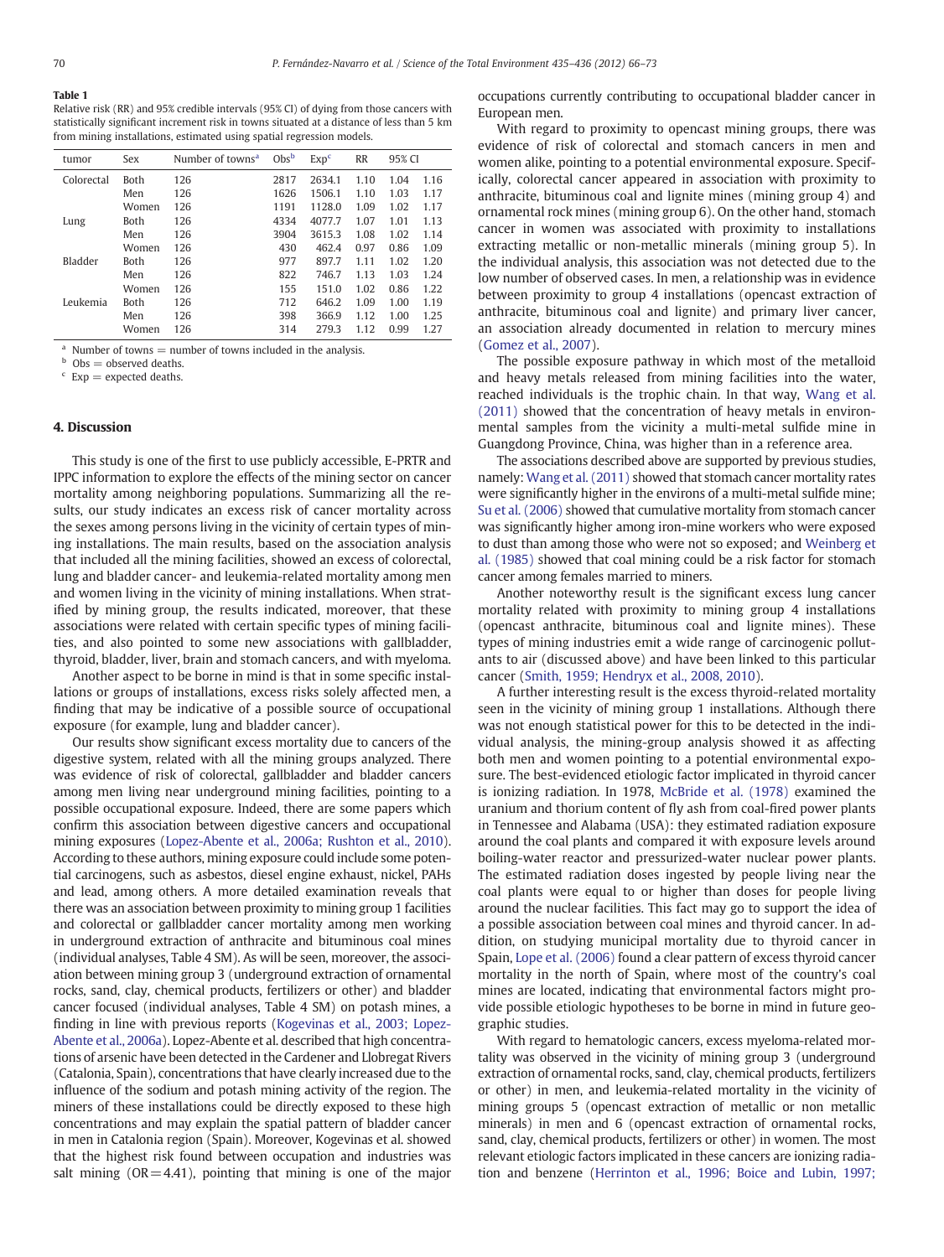# <span id="page-4-0"></span>Table 1

Relative risk (RR) and 95% credible intervals (95% CI) of dying from those cancers with statistically significant increment risk in towns situated at a distance of less than 5 km from mining installations, estimated using spatial regression models.

| tumor      | Sex         | Number of towns <sup>a</sup> | Obs <sup>b</sup> | Exp <sup>c</sup> | <b>RR</b> | 95% CI |      |
|------------|-------------|------------------------------|------------------|------------------|-----------|--------|------|
| Colorectal | <b>Both</b> | 126                          | 2817             | 2634.1           | 1.10      | 1.04   | 1.16 |
|            | Men         | 126                          | 1626             | 1506.1           | 1.10      | 1.03   | 1.17 |
|            | Women       | 126                          | 1191             | 1128.0           | 1.09      | 1.02   | 1.17 |
| Lung       | <b>Both</b> | 126                          | 4334             | 4077.7           | 1.07      | 1.01   | 1.13 |
|            | Men         | 126                          | 3904             | 3615.3           | 1.08      | 1.02   | 1.14 |
|            | Women       | 126                          | 430              | 462.4            | 0.97      | 0.86   | 1.09 |
| Bladder    | <b>Both</b> | 126                          | 977              | 897.7            | 1.11      | 1.02   | 1.20 |
|            | Men         | 126                          | 822              | 746.7            | 1.13      | 1.03   | 1.24 |
|            | Women       | 126                          | 155              | 151.0            | 1.02      | 0.86   | 1.22 |
| Leukemia   | <b>Both</b> | 126                          | 712              | 646.2            | 1.09      | 1.00   | 1.19 |
|            | Men         | 126                          | 398              | 366.9            | 1.12      | 1.00   | 1.25 |
|            | Women       | 126                          | 314              | 279.3            | 1.12      | 0.99   | 1.27 |

Number of towns  $=$  number of towns included in the analysis.

 $b$  Obs = observed deaths.

 $c$  Exp = expected deaths.

#### 4. Discussion

This study is one of the first to use publicly accessible, E-PRTR and IPPC information to explore the effects of the mining sector on cancer mortality among neighboring populations. Summarizing all the results, our study indicates an excess risk of cancer mortality across the sexes among persons living in the vicinity of certain types of mining installations. The main results, based on the association analysis that included all the mining facilities, showed an excess of colorectal, lung and bladder cancer- and leukemia-related mortality among men and women living in the vicinity of mining installations. When stratified by mining group, the results indicated, moreover, that these associations were related with certain specific types of mining facilities, and also pointed to some new associations with gallbladder, thyroid, bladder, liver, brain and stomach cancers, and with myeloma.

Another aspect to be borne in mind is that in some specific installations or groups of installations, excess risks solely affected men, a finding that may be indicative of a possible source of occupational exposure (for example, lung and bladder cancer).

Our results show significant excess mortality due to cancers of the digestive system, related with all the mining groups analyzed. There was evidence of risk of colorectal, gallbladder and bladder cancers among men living near underground mining facilities, pointing to a possible occupational exposure. Indeed, there are some papers which confirm this association between digestive cancers and occupational mining exposures ([Lopez-Abente et al., 2006a; Rushton et al., 2010\)](#page-7-0). According to these authors, mining exposure could include some potential carcinogens, such as asbestos, diesel engine exhaust, nickel, PAHs and lead, among others. A more detailed examination reveals that there was an association between proximity to mining group 1 facilities and colorectal or gallbladder cancer mortality among men working in underground extraction of anthracite and bituminous coal mines (individual analyses, Table 4 SM). As will be seen, moreover, the association between mining group 3 (underground extraction of ornamental rocks, sand, clay, chemical products, fertilizers or other) and bladder cancer focused (individual analyses, Table 4 SM) on potash mines, a finding in line with previous reports ([Kogevinas et al., 2003; Lopez-](#page-7-0)[Abente et al., 2006a](#page-7-0)). Lopez-Abente et al. described that high concentrations of arsenic have been detected in the Cardener and Llobregat Rivers (Catalonia, Spain), concentrations that have clearly increased due to the influence of the sodium and potash mining activity of the region. The miners of these installations could be directly exposed to these high concentrations and may explain the spatial pattern of bladder cancer in men in Catalonia region (Spain). Moreover, Kogevinas et al. showed that the highest risk found between occupation and industries was salt mining  $(OR = 4.41)$ , pointing that mining is one of the major occupations currently contributing to occupational bladder cancer in European men.

With regard to proximity to opencast mining groups, there was evidence of risk of colorectal and stomach cancers in men and women alike, pointing to a potential environmental exposure. Specifically, colorectal cancer appeared in association with proximity to anthracite, bituminous coal and lignite mines (mining group 4) and ornamental rock mines (mining group 6). On the other hand, stomach cancer in women was associated with proximity to installations extracting metallic or non-metallic minerals (mining group 5). In the individual analysis, this association was not detected due to the low number of observed cases. In men, a relationship was in evidence between proximity to group 4 installations (opencast extraction of anthracite, bituminous coal and lignite) and primary liver cancer, an association already documented in relation to mercury mines [\(Gomez et al., 2007](#page-7-0)).

The possible exposure pathway in which most of the metalloid and heavy metals released from mining facilities into the water, reached individuals is the trophic chain. In that way, [Wang et al.](#page-7-0) [\(2011\)](#page-7-0) showed that the concentration of heavy metals in environmental samples from the vicinity a multi-metal sulfide mine in Guangdong Province, China, was higher than in a reference area.

The associations described above are supported by previous studies, namely: [Wang et al. \(2011\)](#page-7-0) showed that stomach cancer mortality rates were significantly higher in the environs of a multi-metal sulfide mine; [Su et al. \(2006\)](#page-7-0) showed that cumulative mortality from stomach cancer was significantly higher among iron-mine workers who were exposed to dust than among those who were not so exposed; and [Weinberg et](#page-7-0) [al. \(1985\)](#page-7-0) showed that coal mining could be a risk factor for stomach cancer among females married to miners.

Another noteworthy result is the significant excess lung cancer mortality related with proximity to mining group 4 installations (opencast anthracite, bituminous coal and lignite mines). These types of mining industries emit a wide range of carcinogenic pollutants to air (discussed above) and have been linked to this particular cancer [\(Smith, 1959; Hendryx et al., 2008, 2010\)](#page-7-0).

A further interesting result is the excess thyroid-related mortality seen in the vicinity of mining group 1 installations. Although there was not enough statistical power for this to be detected in the individual analysis, the mining-group analysis showed it as affecting both men and women pointing to a potential environmental exposure. The best-evidenced etiologic factor implicated in thyroid cancer is ionizing radiation. In 1978, [McBride et al. \(1978\)](#page-7-0) examined the uranium and thorium content of fly ash from coal-fired power plants in Tennessee and Alabama (USA): they estimated radiation exposure around the coal plants and compared it with exposure levels around boiling-water reactor and pressurized-water nuclear power plants. The estimated radiation doses ingested by people living near the coal plants were equal to or higher than doses for people living around the nuclear facilities. This fact may go to support the idea of a possible association between coal mines and thyroid cancer. In addition, on studying municipal mortality due to thyroid cancer in Spain, [Lope et al. \(2006\)](#page-7-0) found a clear pattern of excess thyroid cancer mortality in the north of Spain, where most of the country's coal mines are located, indicating that environmental factors might provide possible etiologic hypotheses to be borne in mind in future geographic studies.

With regard to hematologic cancers, excess myeloma-related mortality was observed in the vicinity of mining group 3 (underground extraction of ornamental rocks, sand, clay, chemical products, fertilizers or other) in men, and leukemia-related mortality in the vicinity of mining groups 5 (opencast extraction of metallic or non metallic minerals) in men and 6 (opencast extraction of ornamental rocks, sand, clay, chemical products, fertilizers or other) in women. The most relevant etiologic factors implicated in these cancers are ionizing radiation and benzene ([Herrinton et al., 1996; Boice and Lubin, 1997;](#page-7-0)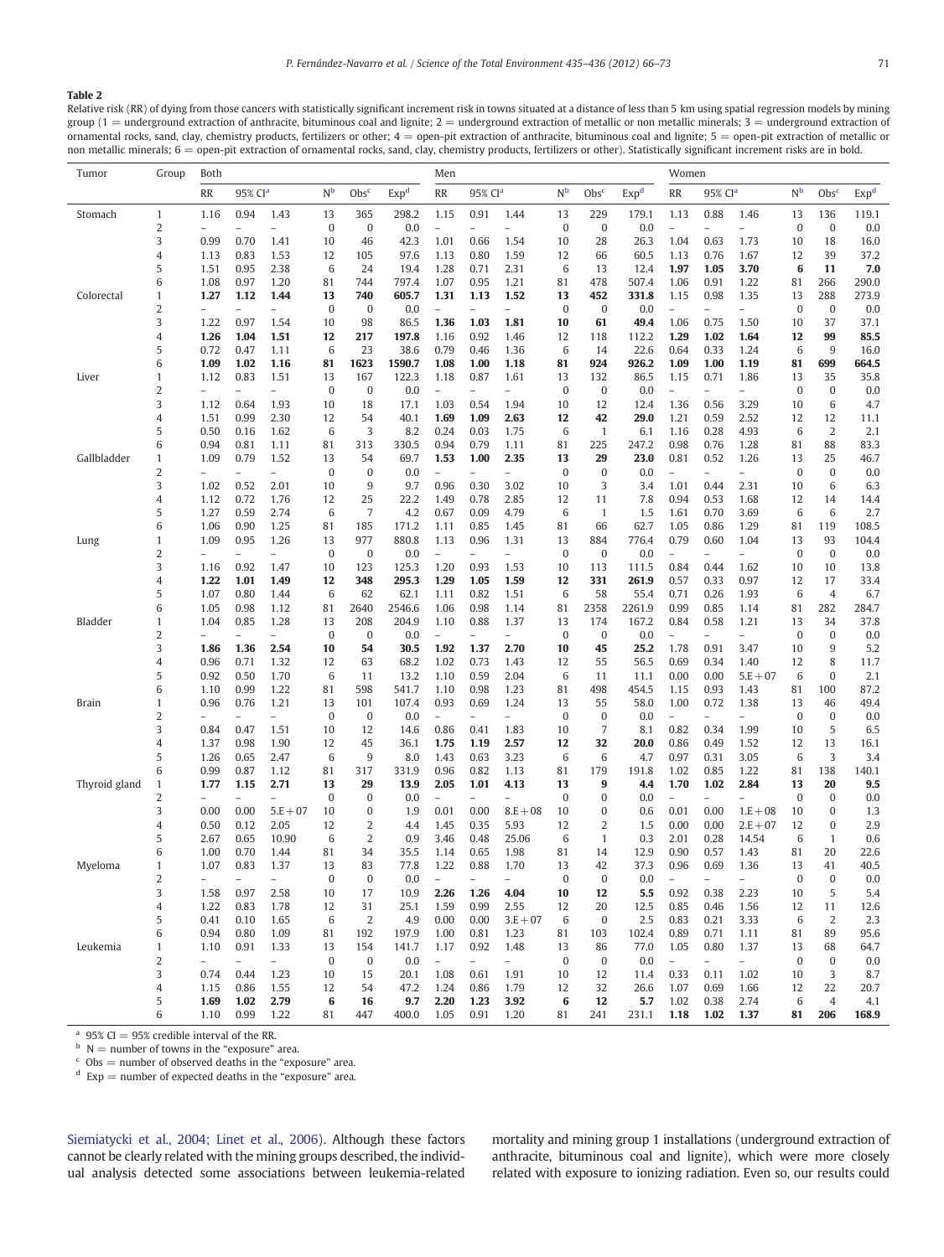#### <span id="page-5-0"></span>Table 2

Relative risk (RR) of dying from those cancers with statistically significant increment risk in towns situated at a distance of less than 5 km using spatial regression models by mining group (1 = underground extraction of anthracite, bituminous coal and lignite; 2 = underground extraction of metallic or non metallic minerals; 3 = underground extraction of ornamental rocks, sand, clay, chemistry products, fertilizers or other; 4 = open-pit extraction of anthracite, bituminous coal and lignite; 5 = open-pit extraction of metallic or non metallic minerals; 6 = open-pit extraction of ornamental rocks, sand, clay, chemistry products, fertilizers or other). Statistically significant increment risks are in bold.

| Tumor         | Group          | Both                     |                          |                          |                  |                  |                  | Men                                                             |                          |                          |                           | Women            |              |                          |                                  |                          |          |                    |             |
|---------------|----------------|--------------------------|--------------------------|--------------------------|------------------|------------------|------------------|-----------------------------------------------------------------|--------------------------|--------------------------|---------------------------|------------------|--------------|--------------------------|----------------------------------|--------------------------|----------|--------------------|-------------|
|               |                | RR                       | 95% CI <sup>a</sup>      |                          | N <sup>b</sup>   | Obs <sup>c</sup> | Exp <sup>d</sup> | N <sup>b</sup><br>Obs <sup>c</sup><br>RR<br>95% Cl <sup>a</sup> |                          | Exp <sup>d</sup>         | RR<br>95% Cl <sup>a</sup> |                  |              | N <sub>b</sub>           | Obs <sup>c</sup>                 | Exp <sup>d</sup>         |          |                    |             |
| Stomach       | 1              | 1.16                     | 0.94                     | 1.43                     | 13               | 365              | 298.2            | 1.15                                                            | 0.91                     | 1.44                     | 13                        | 229              | 179.1        | 1.13                     | 0.88                             | 1.46                     | 13       | 136                | 119.1       |
|               | 2              | $\overline{a}$           | $\overline{a}$           | $\overline{a}$           | $\boldsymbol{0}$ | 0                | 0.0              | $\overline{a}$                                                  | $\overline{a}$           | $\overline{a}$           | $\bf{0}$                  | $\bf{0}$         | 0.0          | $\overline{a}$           | $\overline{a}$                   | $\overline{a}$           | $\bf{0}$ | $\bf{0}$           | 0.0         |
|               | 3              | 0.99                     | 0.70                     | 1.41                     | 10               | 46               | 42.3             | 1.01                                                            | 0.66                     | 1.54                     | 10                        | 28               | 26.3         | 1.04                     | 0.63                             | 1.73                     | 10       | 18                 | 16.0        |
|               | 4              | 1.13                     | 0.83                     | 1.53                     | 12               | 105              | 97.6             | 1.13                                                            | 0.80                     | 1.59                     | 12                        | 66               | 60.5         | 1.13                     | 0.76                             | 1.67                     | 12       | 39                 | 37.2        |
|               | 5              | 1.51                     | 0.95                     | 2.38                     | 6                | 24               | 19.4             | 1.28                                                            | 0.71                     | 2.31                     | 6                         | 13               | 12.4         | 1.97                     | 1.05                             | 3.70                     | 6        | 11                 | 7.0         |
|               | 6              | 1.08                     | 0.97                     | 1.20                     | 81               | 744              | 797.4            | 1.07                                                            | 0.95                     | 1.21                     | 81                        | 478              | 507.4        | 1.06                     | 0.91                             | 1.22                     | 81       | 266                | 290.0       |
| Colorectal    | 1              | 1.27                     | 1.12                     | 1.44                     | 13               | 740              | 605.7            | 1.31                                                            | 1.13                     | 1.52                     | 13                        | 452              | 331.8        | 1.15                     | 0.98                             | 1.35                     | 13       | 288                | 273.9       |
|               | 2              | $\qquad \qquad -$        |                          | $\overline{a}$           | $\boldsymbol{0}$ | 0                | 0.0              | $\overline{\phantom{0}}$                                        | $\overline{\phantom{0}}$ | $\overline{\phantom{0}}$ | 0                         | 0                | 0.0          | $\qquad \qquad -$        | $\overline{a}$                   | $\overline{a}$           | 0        | $\bf{0}$           | 0.0         |
|               | 3              | 1.22                     | 0.97                     | 1.54                     | 10               | 98               | 86.5             | 1.36                                                            | 1.03                     | 1.81                     | 10                        | 61               | 49.4         | 1.06                     | 0.75                             | 1.50                     | 10       | 37                 | 37.1        |
|               | 4              | 1.26                     | 1.04                     | 1.51                     | 12               | 217              | 197.8            | 1.16                                                            | 0.92                     | 1.46                     | 12                        | 118              | 112.2        | 1.29                     | 1.02                             | 1.64                     | 12       | 99                 | 85.5        |
|               | 5              | 0.72                     | 0.47                     | 1.11                     | 6                | 23               | 38.6             | 0.79                                                            | 0.46                     | 1.36                     | 6                         | 14               | 22.6         | 0.64                     | 0.33                             | 1.24                     | 6        | 9                  | 16.0        |
|               | 6              | 1.09                     | 1.02                     | 1.16                     | 81               | 1623             | 1590.7           | 1.08                                                            | 1.00                     | 1.18                     | 81                        | 924              | 926.2        | 1.09                     | 1.00                             | 1.19                     | 81       | 699                | 664.5       |
| Liver         | 1              | 1.12                     | 0.83                     | 1.51                     | 13               | 167              | 122.3            | 1.18                                                            | 0.87                     | 1.61                     | 13                        | 132              | 86.5         | 1.15                     | 0.71                             | 1.86                     | 13       | 35                 | 35.8        |
|               | 2              | $\overline{a}$           |                          | $\overline{a}$           | $\boldsymbol{0}$ | 0                | 0.0              | $\overline{a}$                                                  | $\overline{a}$           | $\overline{a}$           | 0                         | 0                | 0.0          | $\overline{a}$           | $\equiv$                         | $\overline{a}$           | 0        | $\bf{0}$           | 0.0         |
|               | 3              | 1.12                     | 0.64<br>0.99             | 1.93<br>2.30             | 10               | 18<br>54         | 17.1<br>40.1     | 1.03                                                            | 0.54<br>1.09             | 1.94<br>2.63             | 10<br>12                  | 12<br>42         | 12.4<br>29.0 | 1.36<br>1.21             | 0.56<br>0.59                     | 3.29<br>2.52             | 10       | 6<br>12            | 4.7<br>11.1 |
|               | 4<br>5         | 1.51<br>0.50             | 0.16                     | 1.62                     | 12<br>6          | 3                | 8.2              | 1.69<br>0.24                                                    | 0.03                     | 1.75                     | 6                         | $\mathbf{1}$     | 6.1          | 1.16                     | 0.28                             | 4.93                     | 12<br>6  | $\overline{2}$     | 2.1         |
|               | 6              | 0.94                     | 0.81                     | 1.11                     | 81               | 313              | 330.5            | 0.94                                                            | 0.79                     | 1.11                     | 81                        | 225              | 247.2        | 0.98                     | 0.76                             | 1.28                     | 81       | 88                 | 83.3        |
| Gallbladder   | 1              | 1.09                     | 0.79                     | 1.52                     | 13               | 54               | 69.7             | 1.53                                                            | 1.00                     | 2.35                     | 13                        | 29               | 23.0         | 0.81                     | 0.52                             | 1.26                     | 13       | 25                 | 46.7        |
|               | 2              | $\overline{\phantom{0}}$ | $\overline{a}$           | $\overline{\phantom{0}}$ | $\bf{0}$         | 0                | 0.0              | $\overline{a}$                                                  | $\qquad \qquad -$        | $\overline{\phantom{0}}$ | $\bf{0}$                  | $\bf{0}$         | 0.0          | $\overline{a}$           | $\overline{\phantom{0}}$         | $\overline{a}$           | $\bf{0}$ | $\bf{0}$           | 0.0         |
|               | 3              | 1.02                     | 0.52                     | 2.01                     | 10               | 9                | 9.7              | 0.96                                                            | 0.30                     | 3.02                     | 10                        | 3                | 3.4          | 1.01                     | 0.44                             | 2.31                     | 10       | 6                  | 6.3         |
|               | 4              | 1.12                     | 0.72                     | 1.76                     | 12               | 25               | 22.2             | 1.49                                                            | 0.78                     | 2.85                     | 12                        | 11               | 7.8          | 0.94                     | 0.53                             | 1.68                     | 12       | 14                 | 14.4        |
|               | 5              | 1.27                     | 0.59                     | 2.74                     | 6                | 7                | 4.2              | 0.67                                                            | 0.09                     | 4.79                     | 6                         | $\mathbf{1}$     | 1.5          | 1.61                     | 0.70                             | 3.69                     | 6        | 6                  | 2.7         |
|               | 6              | 1.06                     | 0.90                     | 1.25                     | 81               | 185              | 171.2            | 1.11                                                            | 0.85                     | 1.45                     | 81                        | 66               | 62.7         | 1.05                     | 0.86                             | 1.29                     | 81       | 119                | 108.5       |
| Lung          | 1              | 1.09                     | 0.95                     | 1.26                     | 13               | 977              | 880.8            | 1.13                                                            | 0.96                     | 1.31                     | 13                        | 884              | 776.4        | 0.79                     | 0.60                             | 1.04                     | 13       | 93                 | 104.4       |
|               | 2              | $\overline{a}$           |                          |                          | $\bf{0}$         | $\bf{0}$         | 0.0              | $\overline{a}$                                                  |                          | $\overline{a}$           | $\mathbf{0}$              | $\bf{0}$         | 0.0          | $\overline{a}$           | $\overline{a}$                   |                          | $\bf{0}$ | $\bf{0}$           | 0.0         |
|               | 3              | 1.16                     | 0.92                     | 1.47                     | 10               | 123              | 125.3            | 1.20                                                            | 0.93                     | 1.53                     | 10                        | 113              | 111.5        | 0.84                     | 0.44                             | 1.62                     | 10       | 10                 | 13.8        |
|               | 4              | 1.22                     | 1.01                     | 1.49                     | 12               | 348              | 295.3            | 1.29                                                            | 1.05                     | 1.59                     | 12                        | 331              | 261.9        | 0.57                     | 0.33                             | 0.97                     | 12       | 17                 | 33.4        |
|               | 5              | 1.07                     | 0.80                     | 1.44                     | 6                | 62               | 62.1             | 1.11                                                            | 0.82                     | 1.51                     | 6                         | 58               | 55.4         | 0.71                     | 0.26                             | 1.93                     | 6        | 4                  | 6.7         |
|               | 6              | 1.05                     | 0.98                     | 1.12                     | 81               | 2640             | 2546.6           | 1.06                                                            | 0.98                     | 1.14                     | 81                        | 2358             | 2261.9       | 0.99                     | 0.85                             | 1.14                     | 81       | 282                | 284.7       |
| Bladder       | 1              | 1.04                     | 0.85                     | 1.28                     | 13               | 208              | 204.9            | 1.10                                                            | 0.88                     | 1.37                     | 13                        | 174              | 167.2        | 0.84                     | 0.58                             | 1.21                     | 13       | 34                 | 37.8        |
|               | $\overline{2}$ | $\overline{\phantom{0}}$ | $\overline{a}$           | $\overline{a}$           | $\boldsymbol{0}$ | 0                | 0.0              | $\overline{a}$                                                  | $\overline{\phantom{0}}$ | $\overline{\phantom{0}}$ | 0                         | $\boldsymbol{0}$ | 0.0          | $\overline{a}$           | $\overline{\phantom{0}}$         | $\overline{a}$           | 0        | $\mathbf{0}$       | 0.0         |
|               | 3              | 1.86                     | 1.36                     | 2.54                     | 10               | 54               | 30.5             | 1.92                                                            | 1.37                     | 2.70                     | 10                        | 45               | 25.2         | 1.78                     | 0.91                             | 3.47                     | 10       | 9                  | 5.2         |
|               | 4              | 0.96                     | 0.71                     | 1.32                     | 12               | 63               | 68.2             | 1.02                                                            | 0.73                     | 1.43                     | 12                        | 55               | 56.5         | 0.69                     | 0.34                             | 1.40                     | 12       | 8                  | 11.7        |
|               | 5              | 0.92                     | 0.50                     | 1.70                     | 6                | 11               | 13.2             | 1.10                                                            | 0.59                     | 2.04                     | 6                         | 11               | 11.1         | 0.00                     | 0.00                             | $5.E + 07$               | 6        | $\bf{0}$           | 2.1         |
|               | 6              | 1.10                     | 0.99                     | 1.22                     | 81               | 598              | 541.7            | 1.10                                                            | 0.98                     | 1.23                     | 81                        | 498              | 454.5        | 1.15                     | 0.93                             | 1.43                     | 81       | 100                | 87.2        |
| Brain         | 1<br>2         | 0.96<br>$\overline{a}$   | 0.76                     | 1.21<br>-                | 13<br>$\bf{0}$   | 101<br>0         | 107.4<br>0.0     | 0.93<br>$\overline{a}$                                          | 0.69                     | 1.24<br>$\overline{a}$   | 13<br>0                   | 55<br>0          | 58.0<br>0.0  | 1.00<br>$\equiv$         | 0.72<br>$\overline{\phantom{0}}$ | 1.38                     | 13<br>0  | 46<br>$\mathbf{0}$ | 49.4<br>0.0 |
|               | 3              | 0.84                     | 0.47                     | 1.51                     | 10               | 12               | 14.6             | 0.86                                                            | 0.41                     | 1.83                     | 10                        | $\overline{7}$   | 8.1          | 0.82                     | 0.34                             | 1.99                     | 10       | 5                  | 6.5         |
|               | 4              | 1.37                     | 0.98                     | 1.90                     | 12               | 45               | 36.1             | 1.75                                                            | 1.19                     | 2.57                     | 12                        | 32               | 20.0         | 0.86                     | 0.49                             | 1.52                     | 12       | 13                 | 16.1        |
|               | 5              | 1.26                     | 0.65                     | 2.47                     | 6                | 9                | 8.0              | 1.43                                                            | 0.63                     | 3.23                     | 6                         | 6                | 4.7          | 0.97                     | 0.31                             | 3.05                     | 6        | 3                  | 3.4         |
|               | 6              | 0.99                     | 0.87                     | 1.12                     | 81               | 317              | 331.9            | 0.96                                                            | 0.82                     | 1.13                     | 81                        | 179              | 191.8        | 1.02                     | 0.85                             | 1.22                     | 81       | 138                | 140.1       |
| Thyroid gland | 1              | 1.77                     | 1.15                     | 2.71                     | 13               | 29               | 13.9             | 2.05                                                            | 1.01                     | 4.13                     | 13                        | 9                | 4.4          | 1.70                     | 1.02                             | 2.84                     | 13       | 20                 | 9.5         |
|               | $\overline{2}$ | $\overline{\phantom{0}}$ | $\overline{a}$           | $\overline{\phantom{0}}$ | $\boldsymbol{0}$ | 0                | 0.0              | $\overline{a}$                                                  | $\overline{a}$           | -                        | 0                         | $\bf{0}$         | 0.0          | $\overline{a}$           | $\qquad \qquad -$                | $\overline{a}$           | 0        | $\mathbf{0}$       | 0.0         |
|               | 3              | 0.00                     | 0.00                     | $5.E + 07$               | 10               | 0                | 1.9              | 0.01                                                            | 0.00                     | $8.E + 08$               | 10                        | 0                | 0.6          | 0.01                     | 0.00                             | $1.E + 08$               | 10       | 0                  | 1.3         |
|               | 4              | 0.50                     | 0.12                     | 2.05                     | 12               | 2                | 4.4              | 1.45                                                            | 0.35                     | 5.93                     | 12                        | 2                | 1.5          | 0.00                     | 0.00                             | $2.E + 07$               | 12       | $\mathbf{0}$       | 2.9         |
|               | 5              | 2.67                     | 0.65                     | 10.90                    | 6                | 2                | 0.9              | 3.46                                                            | 0.48                     | 25.06                    | 6                         | $\mathbf{1}$     | 0.3          | 2.01                     | 0.28                             | 14.54                    | 6        | $\mathbf{1}$       | 0.6         |
|               | 6              | 1.00                     | 0.70                     | 1.44                     | 81               | 34               | 35.5             | 1.14                                                            | 0.65                     | 1.98                     | 81                        | 14               | 12.9         | 0.90                     | 0.57                             | 1.43                     | 81       | 20                 | 22.6        |
| Myeloma       | 1              | 1.07                     | 0.83                     | 1.37                     | 13               | 83               | 77.8             | 1.22                                                            | 0.88                     | 1.70                     | 13                        | 42               | 37.3         | 0.96                     | 0.69                             | 1.36                     | 13       | 41                 | 40.5        |
|               | 2              |                          |                          |                          | 0                | 0                | 0.0              |                                                                 |                          |                          | 0                         | 0                | 0.0          | $\overline{a}$           |                                  |                          | 0        | 0                  | 0.0         |
|               | 3              | 1.58                     | 0.97                     | 2.58                     | 10               | 17               | 10.9             | 2.26                                                            | 1.26                     | 4.04                     | 10                        | 12               | 5.5          | 0.92                     | 0.38                             | 2.23                     | 10       | 5                  | 5.4         |
|               | 4              | 1.22                     | 0.83                     | 1.78                     | 12               | 31               | 25.1             | 1.59                                                            | 0.99                     | 2.55                     | 12                        | 20               | 12.5         | 0.85                     | 0.46                             | 1.56                     | 12       | 11                 | 12.6        |
|               | 5              | 0.41                     | 0.10                     | 1.65                     | 6                | $\overline{2}$   | 4.9              | 0.00                                                            | 0.00                     | $3.E + 07$               | 6                         | 0                | 2.5          | 0.83                     | 0.21                             | 3.33                     | 6        | $\overline{2}$     | 2.3         |
|               | 6              | 0.94                     | 0.80                     | 1.09                     | 81               | 192              | 197.9            | 1.00                                                            | 0.81                     | 1.23                     | 81                        | 103              | 102.4        | 0.89                     | 0.71                             | 1.11                     | 81       | 89                 | 95.6        |
| Leukemia      | 1              | 1.10                     | 0.91                     | 1.33                     | 13               | 154              | 141.7            | 1.17                                                            | 0.92                     | 1.48                     | 13                        | 86               | 77.0         | 1.05                     | 0.80                             | 1.37                     | 13       | 68                 | 64.7        |
|               | 2              | $\qquad \qquad -$        | $\overline{\phantom{0}}$ | $\overline{\phantom{0}}$ | $\boldsymbol{0}$ | 0                | 0.0              | $\overline{\phantom{0}}$                                        | $\overline{a}$           | $\overline{\phantom{0}}$ | 0                         | 0                | 0.0          | $\overline{\phantom{0}}$ | $\overline{a}$                   | $\overline{\phantom{0}}$ | 0        | 0                  | 0.0         |
|               | 3              | 0.74                     | 0.44                     | 1.23                     | 10               | 15               | 20.1             | 1.08                                                            | 0.61                     | 1.91                     | 10                        | 12               | 11.4         | 0.33                     | 0.11                             | 1.02                     | 10       | 3                  | 8.7         |
|               | 4              | 1.15                     | 0.86                     | 1.55                     | 12               | 54               | 47.2             | 1.24                                                            | 0.86                     | 1.79                     | 12                        | 32               | 26.6         | 1.07                     | 0.69                             | 1.66                     | 12       | 22                 | 20.7        |
|               | 5              | 1.69                     | 1.02                     | 2.79                     | 6                | 16               | 9.7              | 2.20                                                            | 1.23                     | 3.92                     | 6                         | 12               | 5.7          | 1.02                     | 0.38                             | 2.74                     | 6        | 4                  | 4.1         |
|               | 6              | 1.10                     | 0.99                     | 1.22                     | 81               | 447              | 400.0            | 1.05                                                            | 0.91                     | 1.20                     | 81                        | 241              | 231.1        | 1.18                     | 1.02                             | 1.37                     | 81       | 206                | 168.9       |

<sup>a</sup> 95% CI = 95% credible interval of the RR.

 $b$  N = number of towns in the "exposure" area.

 $\epsilon$  Obs = number of observed deaths in the "exposure" area.

 $d$  Exp = number of expected deaths in the "exposure" area.

[Siemiatycki et al., 2004; Linet et al., 2006\)](#page-7-0). Although these factors cannot be clearly related with the mining groups described, the individual analysis detected some associations between leukemia-related mortality and mining group 1 installations (underground extraction of anthracite, bituminous coal and lignite), which were more closely related with exposure to ionizing radiation. Even so, our results could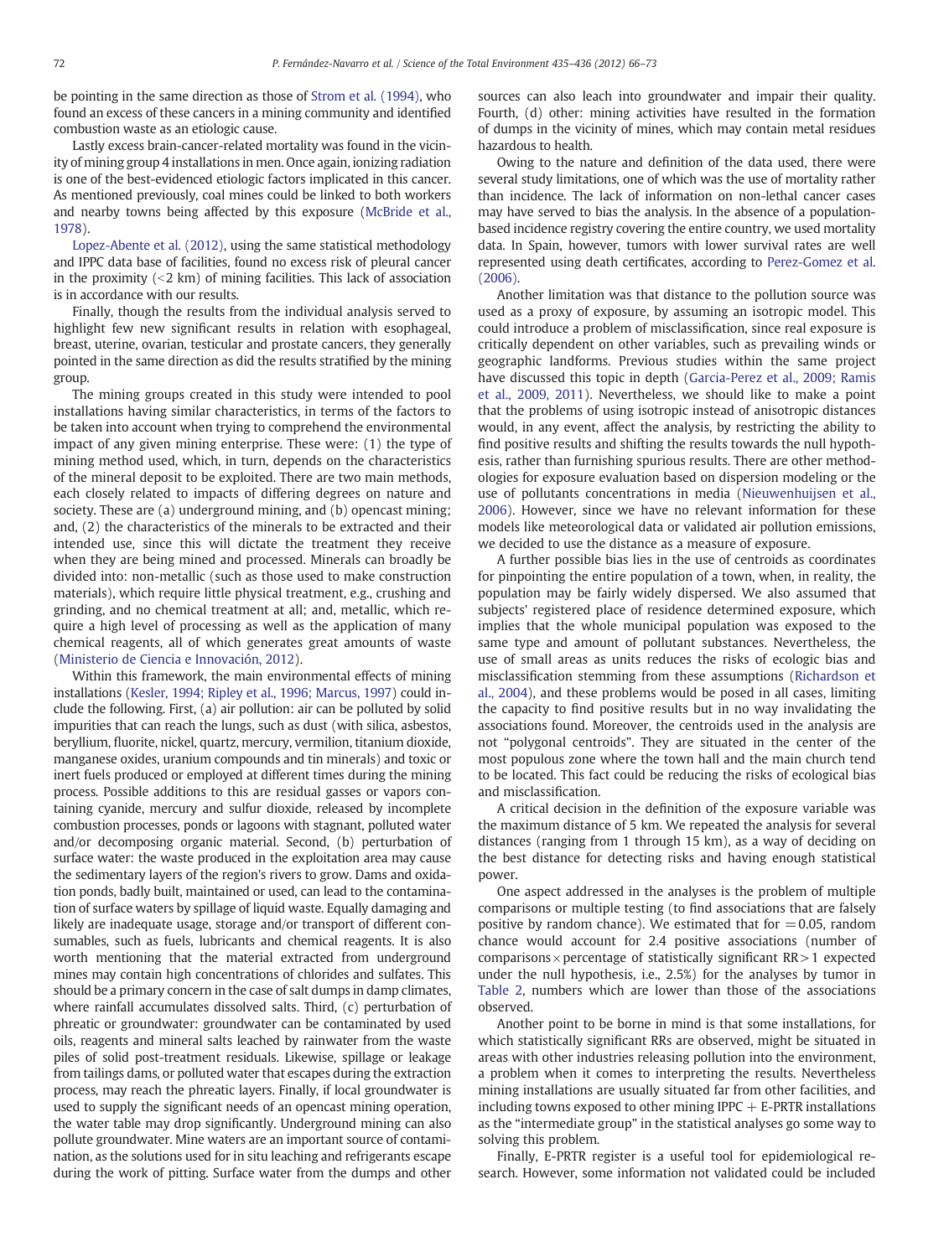be pointing in the same direction as those of [Strom et al. \(1994\),](#page-7-0) who found an excess of these cancers in a mining community and identified combustion waste as an etiologic cause.

Lastly excess brain-cancer-related mortality was found in the vicinity of mining group 4 installations in men. Once again, ionizing radiation is one of the best-evidenced etiologic factors implicated in this cancer. As mentioned previously, coal mines could be linked to both workers and nearby towns being affected by this exposure ([McBride et al.,](#page-7-0) [1978\)](#page-7-0).

[Lopez-Abente et al. \(2012\)](#page-7-0), using the same statistical methodology and IPPC data base of facilities, found no excess risk of pleural cancer in the proximity  $(2 \text{ km})$  of mining facilities. This lack of association is in accordance with our results.

Finally, though the results from the individual analysis served to highlight few new significant results in relation with esophageal, breast, uterine, ovarian, testicular and prostate cancers, they generally pointed in the same direction as did the results stratified by the mining group.

The mining groups created in this study were intended to pool installations having similar characteristics, in terms of the factors to be taken into account when trying to comprehend the environmental impact of any given mining enterprise. These were: (1) the type of mining method used, which, in turn, depends on the characteristics of the mineral deposit to be exploited. There are two main methods, each closely related to impacts of differing degrees on nature and society. These are (a) underground mining, and (b) opencast mining; and, (2) the characteristics of the minerals to be extracted and their intended use, since this will dictate the treatment they receive when they are being mined and processed. Minerals can broadly be divided into: non-metallic (such as those used to make construction materials), which require little physical treatment, e.g., crushing and grinding, and no chemical treatment at all; and, metallic, which require a high level of processing as well as the application of many chemical reagents, all of which generates great amounts of waste [\(Ministerio de Ciencia e Innovación, 2012\)](#page-7-0).

Within this framework, the main environmental effects of mining installations [\(Kesler, 1994; Ripley et al., 1996; Marcus, 1997](#page-7-0)) could include the following. First, (a) air pollution: air can be polluted by solid impurities that can reach the lungs, such as dust (with silica, asbestos, beryllium, fluorite, nickel, quartz, mercury, vermilion, titanium dioxide, manganese oxides, uranium compounds and tin minerals) and toxic or inert fuels produced or employed at different times during the mining process. Possible additions to this are residual gasses or vapors containing cyanide, mercury and sulfur dioxide, released by incomplete combustion processes, ponds or lagoons with stagnant, polluted water and/or decomposing organic material. Second, (b) perturbation of surface water: the waste produced in the exploitation area may cause the sedimentary layers of the region's rivers to grow. Dams and oxidation ponds, badly built, maintained or used, can lead to the contamination of surface waters by spillage of liquid waste. Equally damaging and likely are inadequate usage, storage and/or transport of different consumables, such as fuels, lubricants and chemical reagents. It is also worth mentioning that the material extracted from underground mines may contain high concentrations of chlorides and sulfates. This should be a primary concern in the case of salt dumps in damp climates, where rainfall accumulates dissolved salts. Third, (c) perturbation of phreatic or groundwater: groundwater can be contaminated by used oils, reagents and mineral salts leached by rainwater from the waste piles of solid post-treatment residuals. Likewise, spillage or leakage from tailings dams, or polluted water that escapes during the extraction process, may reach the phreatic layers. Finally, if local groundwater is used to supply the significant needs of an opencast mining operation, the water table may drop significantly. Underground mining can also pollute groundwater. Mine waters are an important source of contamination, as the solutions used for in situ leaching and refrigerants escape during the work of pitting. Surface water from the dumps and other

sources can also leach into groundwater and impair their quality. Fourth, (d) other: mining activities have resulted in the formation of dumps in the vicinity of mines, which may contain metal residues hazardous to health.

Owing to the nature and definition of the data used, there were several study limitations, one of which was the use of mortality rather than incidence. The lack of information on non-lethal cancer cases may have served to bias the analysis. In the absence of a populationbased incidence registry covering the entire country, we used mortality data. In Spain, however, tumors with lower survival rates are well represented using death certificates, according to [Perez-Gomez et al.](#page-7-0) [\(2006\)](#page-7-0).

Another limitation was that distance to the pollution source was used as a proxy of exposure, by assuming an isotropic model. This could introduce a problem of misclassification, since real exposure is critically dependent on other variables, such as prevailing winds or geographic landforms. Previous studies within the same project have discussed this topic in depth ([Garcia-Perez et al., 2009; Ramis](#page-7-0) [et al., 2009, 2011\)](#page-7-0). Nevertheless, we should like to make a point that the problems of using isotropic instead of anisotropic distances would, in any event, affect the analysis, by restricting the ability to find positive results and shifting the results towards the null hypothesis, rather than furnishing spurious results. There are other methodologies for exposure evaluation based on dispersion modeling or the use of pollutants concentrations in media [\(Nieuwenhuijsen et al.,](#page-7-0) [2006\)](#page-7-0). However, since we have no relevant information for these models like meteorological data or validated air pollution emissions, we decided to use the distance as a measure of exposure.

A further possible bias lies in the use of centroids as coordinates for pinpointing the entire population of a town, when, in reality, the population may be fairly widely dispersed. We also assumed that subjects' registered place of residence determined exposure, which implies that the whole municipal population was exposed to the same type and amount of pollutant substances. Nevertheless, the use of small areas as units reduces the risks of ecologic bias and misclassification stemming from these assumptions ([Richardson et](#page-7-0) [al., 2004\)](#page-7-0), and these problems would be posed in all cases, limiting the capacity to find positive results but in no way invalidating the associations found. Moreover, the centroids used in the analysis are not "polygonal centroids". They are situated in the center of the most populous zone where the town hall and the main church tend to be located. This fact could be reducing the risks of ecological bias and misclassification.

A critical decision in the definition of the exposure variable was the maximum distance of 5 km. We repeated the analysis for several distances (ranging from 1 through 15 km), as a way of deciding on the best distance for detecting risks and having enough statistical power.

One aspect addressed in the analyses is the problem of multiple comparisons or multiple testing (to find associations that are falsely positive by random chance). We estimated that for  $=0.05$ , random chance would account for 2.4 positive associations (number of comparisons  $\times$  percentage of statistically significant RR $>1$  expected under the null hypothesis, i.e., 2.5%) for the analyses by tumor in [Table 2,](#page-5-0) numbers which are lower than those of the associations observed.

Another point to be borne in mind is that some installations, for which statistically significant RRs are observed, might be situated in areas with other industries releasing pollution into the environment, a problem when it comes to interpreting the results. Nevertheless mining installations are usually situated far from other facilities, and including towns exposed to other mining IPPC  $+$  E-PRTR installations as the "intermediate group" in the statistical analyses go some way to solving this problem.

Finally, E-PRTR register is a useful tool for epidemiological research. However, some information not validated could be included